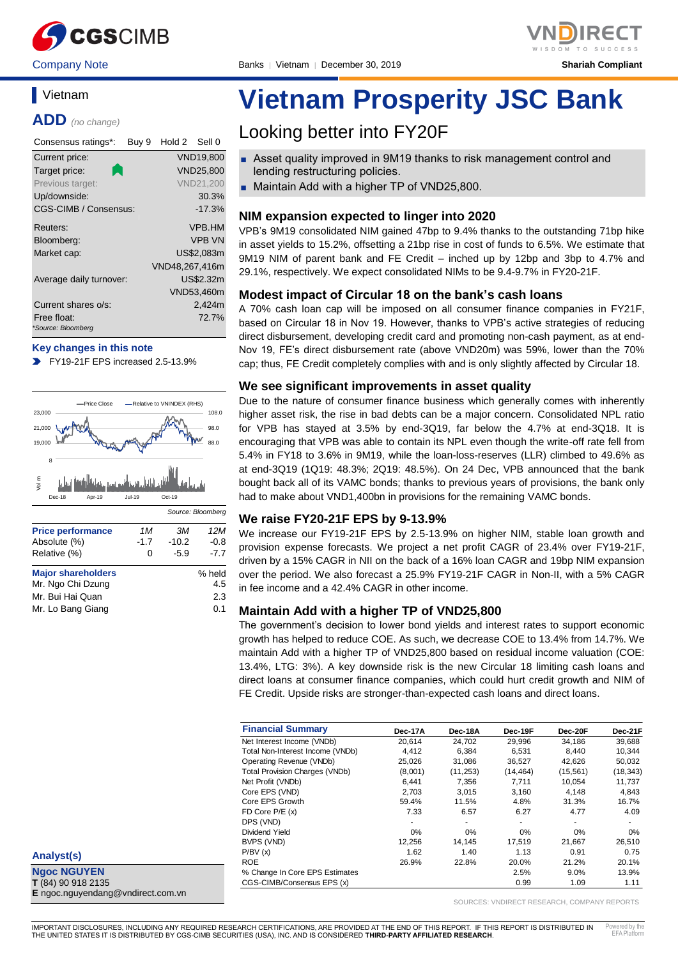

Company Note Banks │ Vietnam │ December 30, 2019 **Shariah Compliant**



### **Vietnam**

**ADD** *(no change)*

| Consensus ratings*:          | Buy 9 | Hold 2 Sell 0  |                  |
|------------------------------|-------|----------------|------------------|
| Current price:               |       |                | <b>VND19,800</b> |
| Target price:                |       |                | <b>VND25.800</b> |
| Previous target:             |       |                | <b>VND21,200</b> |
| Up/downside:                 |       |                | 30.3%            |
| <b>CGS-CIMB / Consensus:</b> |       |                | $-17.3%$         |
| Reuters:                     |       |                | VPB.HM           |
| Bloomberg:                   |       |                | <b>VPB VN</b>    |
| Market cap:                  |       |                | US\$2,083m       |
|                              |       | VND48,267,416m |                  |
| Average daily turnover:      |       |                | US\$2.32m        |
|                              |       |                | VND53,460m       |
| Current shares o/s:          |       |                | 2,424m           |
| Free float:                  |       |                | 72.7%            |
| *Source: Bloomberg           |       |                |                  |

#### **Key changes in this note**

FY19-21F EPS increased 2.5-13.9%



| Analyst(s)          |  |
|---------------------|--|
| <b>Ngoc NGUYEN</b>  |  |
| $T(84)$ 90 918 2135 |  |

**E** ngoc.nguyendang@vndirect.com.vn

# **Vietnam Prosperity JSC Bank**

## Looking better into FY20F

- Asset quality improved in 9M19 thanks to risk management control and lending restructuring policies.
- Maintain Add with a higher TP of VND25,800.

#### **NIM expansion expected to linger into 2020**

VPB's 9M19 consolidated NIM gained 47bp to 9.4% thanks to the outstanding 71bp hike in asset yields to 15.2%, offsetting a 21bp rise in cost of funds to 6.5%. We estimate that 9M19 NIM of parent bank and FE Credit – inched up by 12bp and 3bp to 4.7% and 29.1%, respectively. We expect consolidated NIMs to be 9.4-9.7% in FY20-21F.

#### **Modest impact of Circular 18 on the bank's cash loans**

A 70% cash loan cap will be imposed on all consumer finance companies in FY21F, based on Circular 18 in Nov 19. However, thanks to VPB's active strategies of reducing direct disbursement, developing credit card and promoting non-cash payment, as at end-Nov 19, FE's direct disbursement rate (above VND20m) was 59%, lower than the 70% cap; thus, FE Credit completely complies with and is only slightly affected by Circular 18.

#### **We see significant improvements in asset quality**

Due to the nature of consumer finance business which generally comes with inherently higher asset risk, the rise in bad debts can be a major concern. Consolidated NPL ratio for VPB has stayed at 3.5% by end-3Q19, far below the 4.7% at end-3Q18. It is encouraging that VPB was able to contain its NPL even though the write-off rate fell from 5.4% in FY18 to 3.6% in 9M19, while the loan-loss-reserves (LLR) climbed to 49.6% as at end-3Q19 (1Q19: 48.3%; 2Q19: 48.5%). On 24 Dec, VPB announced that the bank bought back all of its VAMC bonds; thanks to previous years of provisions, the bank only had to make about VND1,400bn in provisions for the remaining VAMC bonds.

#### **We raise FY20-21F EPS by 9-13.9%**

We increase our FY19-21F EPS by 2.5-13.9% on higher NIM, stable loan growth and provision expense forecasts. We project a net profit CAGR of 23.4% over FY19-21F, driven by a 15% CAGR in NII on the back of a 16% loan CAGR and 19bp NIM expansion over the period. We also forecast a 25.9% FY19-21F CAGR in Non-II, with a 5% CAGR in fee income and a 42.4% CAGR in other income.

#### **Maintain Add with a higher TP of VND25,800**

The government's decision to lower bond yields and interest rates to support economic growth has helped to reduce COE. As such, we decrease COE to 13.4% from 14.7%. We maintain Add with a higher TP of VND25,800 based on residual income valuation (COE: 13.4%, LTG: 3%). A key downside risk is the new Circular 18 limiting cash loans and direct loans at consumer finance companies, which could hurt credit growth and NIM of FE Credit. Upside risks are stronger-than-expected cash loans and direct loans.

| <b>Financial Summary</b>              | Dec-17A | Dec-18A   | Dec-19F   | Dec-20F   | Dec-21F   |
|---------------------------------------|---------|-----------|-----------|-----------|-----------|
| Net Interest Income (VNDb)            | 20.614  | 24,702    | 29,996    | 34,186    | 39,688    |
| Total Non-Interest Income (VNDb)      | 4.412   | 6,384     | 6.531     | 8.440     | 10,344    |
| Operating Revenue (VNDb)              | 25,026  | 31.086    | 36,527    | 42.626    | 50,032    |
| <b>Total Provision Charges (VNDb)</b> | (8,001) | (11, 253) | (14, 464) | (15, 561) | (18, 343) |
| Net Profit (VNDb)                     | 6,441   | 7,356     | 7,711     | 10,054    | 11,737    |
| Core EPS (VND)                        | 2.703   | 3.015     | 3,160     | 4.148     | 4.843     |
| Core EPS Growth                       | 59.4%   | 11.5%     | 4.8%      | 31.3%     | 16.7%     |
| FD Core $P/E(x)$                      | 7.33    | 6.57      | 6.27      | 4.77      | 4.09      |
| DPS (VND)                             |         | ۰         |           |           |           |
| Dividend Yield                        | 0%      | 0%        | 0%        | 0%        | 0%        |
| BVPS (VND)                            | 12.256  | 14.145    | 17.519    | 21.667    | 26,510    |
| P/BV(x)                               | 1.62    | 1.40      | 1.13      | 0.91      | 0.75      |
| <b>ROE</b>                            | 26.9%   | 22.8%     | 20.0%     | 21.2%     | 20.1%     |
| % Change In Core EPS Estimates        |         |           | 2.5%      | 9.0%      | 13.9%     |
| CGS-CIMB/Consensus EPS (x)            |         |           | 0.99      | 1.09      | 1.11      |

SOURCES: VNDIRECT RESEARCH, COMPANY REPORTS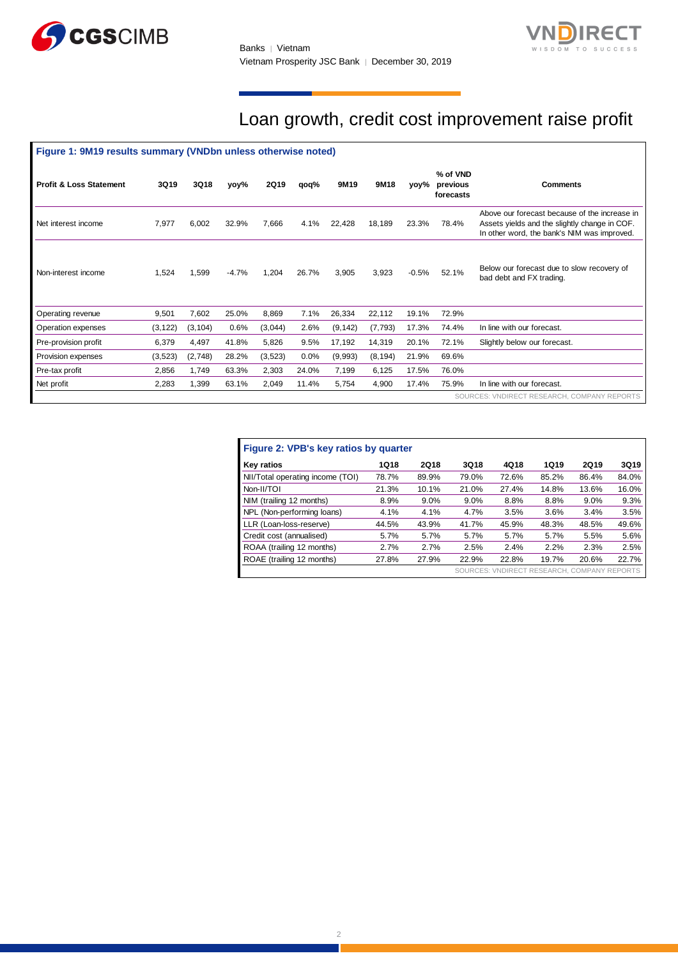



## Loan growth, credit cost improvement raise profit

| Figure 1: 9M19 results summary (VNDbn unless otherwise noted) |          |          |         |             |       |          |          |         |                                   |                                                                                                                                               |  |
|---------------------------------------------------------------|----------|----------|---------|-------------|-------|----------|----------|---------|-----------------------------------|-----------------------------------------------------------------------------------------------------------------------------------------------|--|
| <b>Profit &amp; Loss Statement</b>                            | 3Q19     | 3Q18     | yoy%    | <b>2Q19</b> | qoq%  | 9M19     | 9M18     | yoy%    | % of VND<br>previous<br>forecasts | <b>Comments</b>                                                                                                                               |  |
| Net interest income                                           | 7,977    | 6,002    | 32.9%   | 7,666       | 4.1%  | 22,428   | 18,189   | 23.3%   | 78.4%                             | Above our forecast because of the increase in<br>Assets yields and the slightly change in COF.<br>In other word, the bank's NIM was improved. |  |
| Non-interest income                                           | 1,524    | 1,599    | $-4.7%$ | 1,204       | 26.7% | 3,905    | 3,923    | $-0.5%$ | 52.1%                             | Below our forecast due to slow recovery of<br>bad debt and FX trading.                                                                        |  |
| Operating revenue                                             | 9,501    | 7,602    | 25.0%   | 8,869       | 7.1%  | 26,334   | 22,112   | 19.1%   | 72.9%                             |                                                                                                                                               |  |
| Operation expenses                                            | (3, 122) | (3, 104) | 0.6%    | (3,044)     | 2.6%  | (9, 142) | (7, 793) | 17.3%   | 74.4%                             | In line with our forecast.                                                                                                                    |  |
| Pre-provision profit                                          | 6,379    | 4,497    | 41.8%   | 5,826       | 9.5%  | 17,192   | 14,319   | 20.1%   | 72.1%                             | Slightly below our forecast.                                                                                                                  |  |
| Provision expenses                                            | (3, 523) | (2,748)  | 28.2%   | (3,523)     | 0.0%  | (9,993)  | (8, 194) | 21.9%   | 69.6%                             |                                                                                                                                               |  |
| Pre-tax profit                                                | 2,856    | 1,749    | 63.3%   | 2,303       | 24.0% | 7,199    | 6,125    | 17.5%   | 76.0%                             |                                                                                                                                               |  |
| Net profit                                                    | 2,283    | 1,399    | 63.1%   | 2,049       | 11.4% | 5,754    | 4,900    | 17.4%   | 75.9%                             | In line with our forecast.                                                                                                                    |  |
| SOURCES: VNDIRECT RESEARCH, COMPANY REPORTS                   |          |          |         |             |       |          |          |         |                                   |                                                                                                                                               |  |

| Figure 2: VPB's key ratios by quarter |       |       |       |       |                                             |       |       |  |  |
|---------------------------------------|-------|-------|-------|-------|---------------------------------------------|-------|-------|--|--|
| Key ratios                            | 1Q18  | 2Q18  | 3Q18  | 4Q18  | 1Q19                                        | 2Q19  | 3Q19  |  |  |
| NII/Total operating income (TOI)      | 78.7% | 89.9% | 79.0% | 72.6% | 85.2%                                       | 86.4% | 84.0% |  |  |
| Non-II/TOI                            | 21.3% | 10.1% | 21.0% | 27.4% | 14.8%                                       | 13.6% | 16.0% |  |  |
| NIM (trailing 12 months)              | 8.9%  | 9.0%  | 9.0%  | 8.8%  | 8.8%                                        | 9.0%  | 9.3%  |  |  |
| NPL (Non-performing loans)            | 4.1%  | 4.1%  | 4.7%  | 3.5%  | 3.6%                                        | 3.4%  | 3.5%  |  |  |
| LLR (Loan-loss-reserve)               | 44.5% | 43.9% | 41.7% | 45.9% | 48.3%                                       | 48.5% | 49.6% |  |  |
| Credit cost (annualised)              | 5.7%  | 5.7%  | 5.7%  | 5.7%  | 5.7%                                        | 5.5%  | 5.6%  |  |  |
| ROAA (trailing 12 months)             | 2.7%  | 2.7%  | 2.5%  | 2.4%  | 2.2%                                        | 2.3%  | 2.5%  |  |  |
| ROAE (trailing 12 months)             | 27.8% | 27.9% | 22.9% | 22.8% | 19.7%                                       | 20.6% | 22.7% |  |  |
|                                       |       |       |       |       | SOURCES: VNDIRECT RESEARCH, COMPANY REPORTS |       |       |  |  |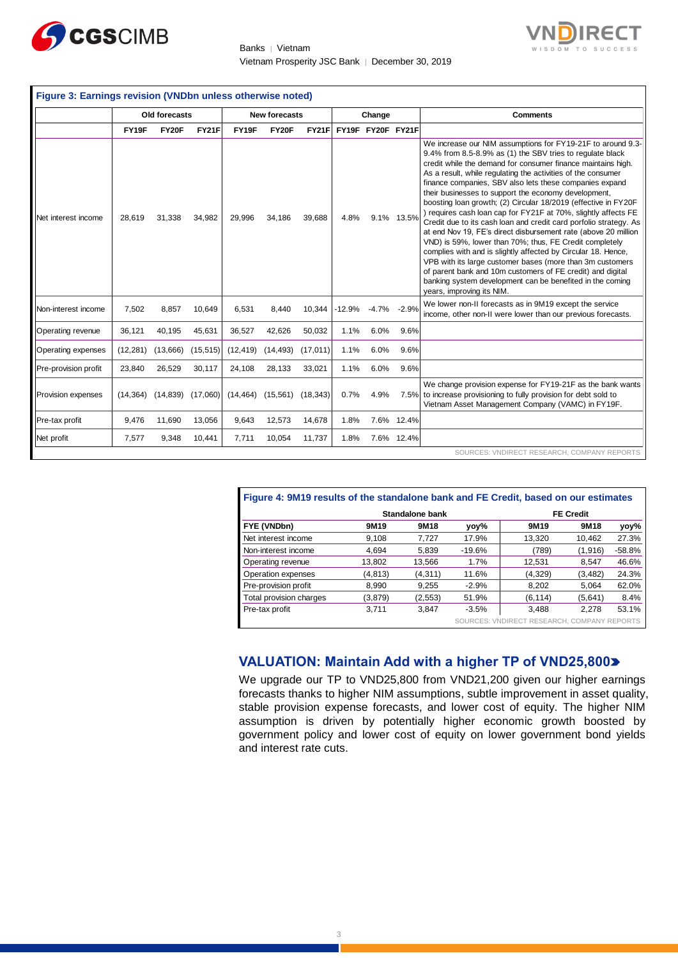

Banks │ Vietnam Vietnam Prosperity JSC Bank │ December 30, 2019



|                      |           | Old forecasts |              |           | <b>New forecasts</b> |              |          | Change            |            | <b>Comments</b>                                                                                                                                                                                                                                                                                                                                                                                                                                                                                                                                                                                                                                                                                                                                                                                                                                                                                                                                                                                         |
|----------------------|-----------|---------------|--------------|-----------|----------------------|--------------|----------|-------------------|------------|---------------------------------------------------------------------------------------------------------------------------------------------------------------------------------------------------------------------------------------------------------------------------------------------------------------------------------------------------------------------------------------------------------------------------------------------------------------------------------------------------------------------------------------------------------------------------------------------------------------------------------------------------------------------------------------------------------------------------------------------------------------------------------------------------------------------------------------------------------------------------------------------------------------------------------------------------------------------------------------------------------|
|                      | FY19F     | FY20F         | <b>FY21F</b> | FY19F     | <b>FY20F</b>         | <b>FY21F</b> |          | FY19F FY20F FY21F |            |                                                                                                                                                                                                                                                                                                                                                                                                                                                                                                                                                                                                                                                                                                                                                                                                                                                                                                                                                                                                         |
| Net interest income  | 28,619    | 31,338        | 34,982       | 29,996    | 34,186               | 39,688       | 4.8%     |                   | 9.1% 13.5% | We increase our NIM assumptions for FY19-21F to around 9.3-<br>9.4% from 8.5-8.9% as (1) the SBV tries to regulate black<br>credit while the demand for consumer finance maintains high.<br>As a result, while regulating the activities of the consumer<br>finance companies, SBV also lets these companies expand<br>their businesses to support the economy development,<br>boosting loan growth; (2) Circular 18/2019 (effective in FY20F<br>) requires cash loan cap for FY21F at 70%, slightly affects FE<br>Credit due to its cash loan and credit card porfolio strategy. As<br>at end Nov 19, FE's direct disbursement rate (above 20 million<br>VND) is 59%, lower than 70%; thus, FE Credit completely<br>complies with and is slightly affected by Circular 18. Hence,<br>VPB with its large customer bases (more than 3m customers<br>of parent bank and 10m customers of FE credit) and digital<br>banking system development can be benefited in the coming<br>years, improving its NIM. |
| Non-interest income  | 7,502     | 8,857         | 10,649       | 6.531     | 8,440                | 10,344       | $-12.9%$ | $-4.7%$           | $-2.9%$    | We lower non-II forecasts as in 9M19 except the service<br>income, other non-II were lower than our previous forecasts.                                                                                                                                                                                                                                                                                                                                                                                                                                                                                                                                                                                                                                                                                                                                                                                                                                                                                 |
| Operating revenue    | 36,121    | 40,195        | 45,631       | 36,527    | 42,626               | 50,032       | 1.1%     | 6.0%              | 9.6%       |                                                                                                                                                                                                                                                                                                                                                                                                                                                                                                                                                                                                                                                                                                                                                                                                                                                                                                                                                                                                         |
| Operating expenses   | (12, 281) | (13,666)      | (15, 515)    | (12, 419) | (14, 493)            | (17, 011)    | 1.1%     | 6.0%              | 9.6%       |                                                                                                                                                                                                                                                                                                                                                                                                                                                                                                                                                                                                                                                                                                                                                                                                                                                                                                                                                                                                         |
| Pre-provision profit | 23,840    | 26,529        | 30,117       | 24,108    | 28,133               | 33,021       | 1.1%     | 6.0%              | 9.6%       |                                                                                                                                                                                                                                                                                                                                                                                                                                                                                                                                                                                                                                                                                                                                                                                                                                                                                                                                                                                                         |
| Provision expenses   | (14, 364) | (14, 839)     | (17,060)     | (14, 464) | (15, 561)            | (18, 343)    | 0.7%     | 4.9%              | 7.5%       | We change provision expense for FY19-21F as the bank wants<br>to increase provisioning to fully provision for debt sold to<br>Vietnam Asset Management Company (VAMC) in FY19F.                                                                                                                                                                                                                                                                                                                                                                                                                                                                                                                                                                                                                                                                                                                                                                                                                         |
| Pre-tax profit       | 9,476     | 11,690        | 13,056       | 9,643     | 12,573               | 14,678       | 1.8%     | 7.6%              | 12.4%      |                                                                                                                                                                                                                                                                                                                                                                                                                                                                                                                                                                                                                                                                                                                                                                                                                                                                                                                                                                                                         |
| Net profit           | 7,577     | 9,348         | 10,441       | 7,711     | 10,054               | 11,737       | 1.8%     |                   | 7.6% 12.4% |                                                                                                                                                                                                                                                                                                                                                                                                                                                                                                                                                                                                                                                                                                                                                                                                                                                                                                                                                                                                         |

| Figure 4: 9M19 results of the standalone bank and FE Credit, based on our estimates |                  |                 |          |                  |          |          |  |  |
|-------------------------------------------------------------------------------------|------------------|-----------------|----------|------------------|----------|----------|--|--|
|                                                                                     |                  | Standalone bank |          | <b>FE Credit</b> |          |          |  |  |
| FYE (VNDbn)                                                                         | 9M <sub>19</sub> | 9M18            | yoy%     | 9M19             | 9M18     | yoy%     |  |  |
| Net interest income                                                                 | 9.108            | 7.727           | 17.9%    | 13.320           | 10,462   | 27.3%    |  |  |
| Non-interest income                                                                 | 4.694            | 5.839           | $-19.6%$ | (789)            | (1,916)  | $-58.8%$ |  |  |
| Operating revenue                                                                   | 13,802           | 13,566          | 1.7%     | 12,531           | 8,547    | 46.6%    |  |  |
| Operation expenses                                                                  | (4,813)          | (4, 311)        | 11.6%    | (4,329)          | (3, 482) | 24.3%    |  |  |
| Pre-provision profit                                                                | 8,990            | 9.255           | $-2.9%$  | 8.202            | 5,064    | 62.0%    |  |  |
| Total provision charges                                                             | (3,879)          | (2, 553)        | 51.9%    | (6, 114)         | (5,641)  | 8.4%     |  |  |
| Pre-tax profit                                                                      | 3.711            | 3.847           | $-3.5%$  | 3.488            | 2.278    | 53.1%    |  |  |

SOURCES: VNDIRECT RESEARCH, COMPANY REPORTS

### **VALUATION: Maintain Add with a higher TP of VND25,800**

We upgrade our TP to VND25,800 from VND21,200 given our higher earnings forecasts thanks to higher NIM assumptions, subtle improvement in asset quality, stable provision expense forecasts, and lower cost of equity. The higher NIM assumption is driven by potentially higher economic growth boosted by government policy and lower cost of equity on lower government bond yields and interest rate cuts.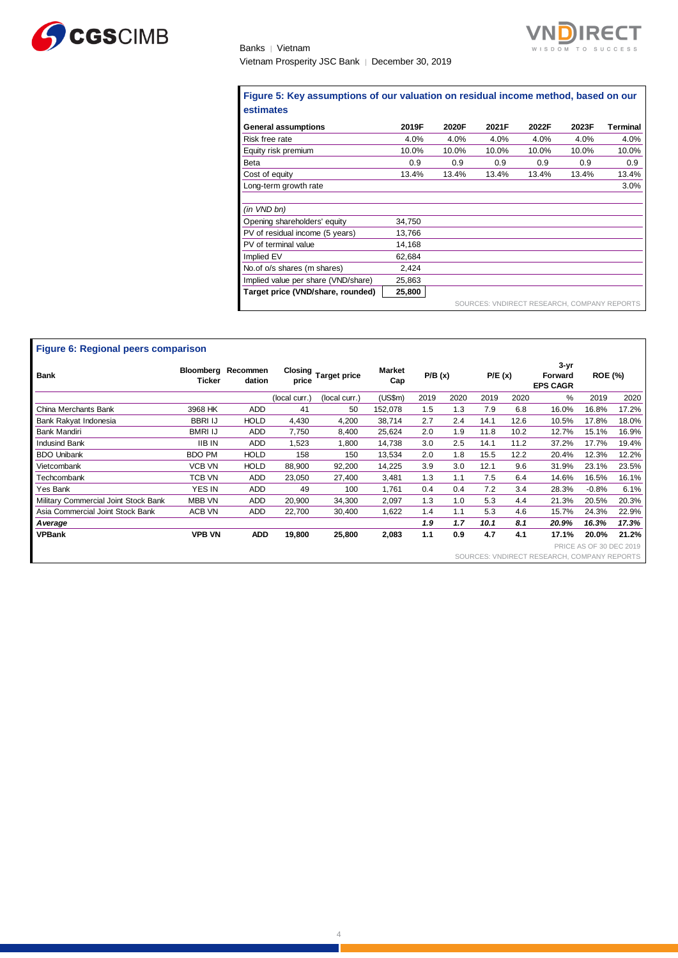

Banks │ Vietnam Vietnam Prosperity JSC Bank │ December 30, 2019

#### **Figure 5: Key assumptions of our valuation on residual income method, based on our estimates**

T

| <b>General assumptions</b>          | 2019F  | 2020F | 2021F                                       | 2022F | 2023F | Terminal |
|-------------------------------------|--------|-------|---------------------------------------------|-------|-------|----------|
| Risk free rate                      | 4.0%   | 4.0%  | 4.0%                                        | 4.0%  | 4.0%  | 4.0%     |
| Equity risk premium                 | 10.0%  | 10.0% | 10.0%                                       | 10.0% | 10.0% | 10.0%    |
| <b>Beta</b>                         | 0.9    | 0.9   | 0.9                                         | 0.9   | 0.9   | 0.9      |
| Cost of equity                      | 13.4%  | 13.4% | 13.4%                                       | 13.4% | 13.4% | 13.4%    |
| Long-term growth rate               |        |       |                                             |       |       | 3.0%     |
| (in VND bn)                         |        |       |                                             |       |       |          |
| Opening shareholders' equity        | 34,750 |       |                                             |       |       |          |
| PV of residual income (5 years)     | 13,766 |       |                                             |       |       |          |
| PV of terminal value                | 14,168 |       |                                             |       |       |          |
| Implied EV                          | 62.684 |       |                                             |       |       |          |
| No. of o/s shares (m shares)        | 2,424  |       |                                             |       |       |          |
| Implied value per share (VND/share) | 25,863 |       |                                             |       |       |          |
| Target price (VND/share, rounded)   | 25,800 |       |                                             |       |       |          |
|                                     |        |       | SOURCES: VNDIRECT RESEARCH, COMPANY REPORTS |       |       |          |

| Figure 6: Regional peers comparison  |                |                                             |                  |                     |               |        |      |        |      |                                        |                                |       |
|--------------------------------------|----------------|---------------------------------------------|------------------|---------------------|---------------|--------|------|--------|------|----------------------------------------|--------------------------------|-------|
| <b>Bank</b>                          | Ticker         | Bloomberg Recommen<br>dation                | Closing<br>price | <b>Target price</b> | Market<br>Cap | P/B(x) |      | P/E(x) |      | $3 - yr$<br>Forward<br><b>EPS CAGR</b> | <b>ROE (%)</b>                 |       |
|                                      |                |                                             | (local curr.)    | (local curr.)       | (US\$m)       | 2019   | 2020 | 2019   | 2020 | %                                      | 2019                           | 2020  |
| China Merchants Bank                 | 3968 HK        | <b>ADD</b>                                  | 41               | 50                  | 152,078       | 1.5    | 1.3  | 7.9    | 6.8  | 16.0%                                  | 16.8%                          | 17.2% |
| Bank Rakyat Indonesia                | <b>BBRI IJ</b> | <b>HOLD</b>                                 | 4,430            | 4,200               | 38,714        | 2.7    | 2.4  | 14.1   | 12.6 | 10.5%                                  | 17.8%                          | 18.0% |
| <b>Bank Mandiri</b>                  | BMRI IJ        | ADD                                         | 7,750            | 8,400               | 25,624        | 2.0    | 1.9  | 11.8   | 10.2 | 12.7%                                  | 15.1%                          | 16.9% |
| <b>Indusind Bank</b>                 | <b>IIB IN</b>  | <b>ADD</b>                                  | 1,523            | 1,800               | 14,738        | 3.0    | 2.5  | 14.1   | 11.2 | 37.2%                                  | 17.7%                          | 19.4% |
| <b>BDO Unibank</b>                   | <b>BDO PM</b>  | <b>HOLD</b>                                 | 158              | 150                 | 13,534        | 2.0    | 1.8  | 15.5   | 12.2 | 20.4%                                  | 12.3%                          | 12.2% |
| Vietcombank                          | VCB VN         | <b>HOLD</b>                                 | 88,900           | 92,200              | 14,225        | 3.9    | 3.0  | 12.1   | 9.6  | 31.9%                                  | 23.1%                          | 23.5% |
| <b>Fechcombank</b>                   | TCB VN         | <b>ADD</b>                                  | 23,050           | 27,400              | 3,481         | 1.3    | 1.1  | 7.5    | 6.4  | 14.6%                                  | 16.5%                          | 16.1% |
| Yes Bank                             | YES IN         | <b>ADD</b>                                  | 49               | 100                 | 1,761         | 0.4    | 0.4  | 7.2    | 3.4  | 28.3%                                  | $-0.8%$                        | 6.1%  |
| Military Commercial Joint Stock Bank | MBB VN         | ADD                                         | 20,900           | 34,300              | 2,097         | 1.3    | 1.0  | 5.3    | 4.4  | 21.3%                                  | 20.5%                          | 20.3% |
| Asia Commercial Joint Stock Bank     | ACB VN         | ADD                                         | 22.700           | 30,400              | 1,622         | 1.4    | 1.1  | 5.3    | 4.6  | 15.7%                                  | 24.3%                          | 22.9% |
| A verage                             |                |                                             |                  |                     |               | 1.9    | 1.7  | 10.1   | 8.1  | 20.9%                                  | 16.3%                          | 17.3% |
| <b>VPBank</b>                        | <b>VPB VN</b>  | <b>ADD</b>                                  | 19,800           | 25,800              | 2,083         | 1.1    | 0.9  | 4.7    | 4.1  | 17.1%                                  | 20.0%                          | 21.2% |
|                                      |                |                                             |                  |                     |               |        |      |        |      |                                        | <b>PRICE AS OF 30 DEC 2019</b> |       |
|                                      |                | SOURCES: VNDIRECT RESEARCH, COMPANY REPORTS |                  |                     |               |        |      |        |      |                                        |                                |       |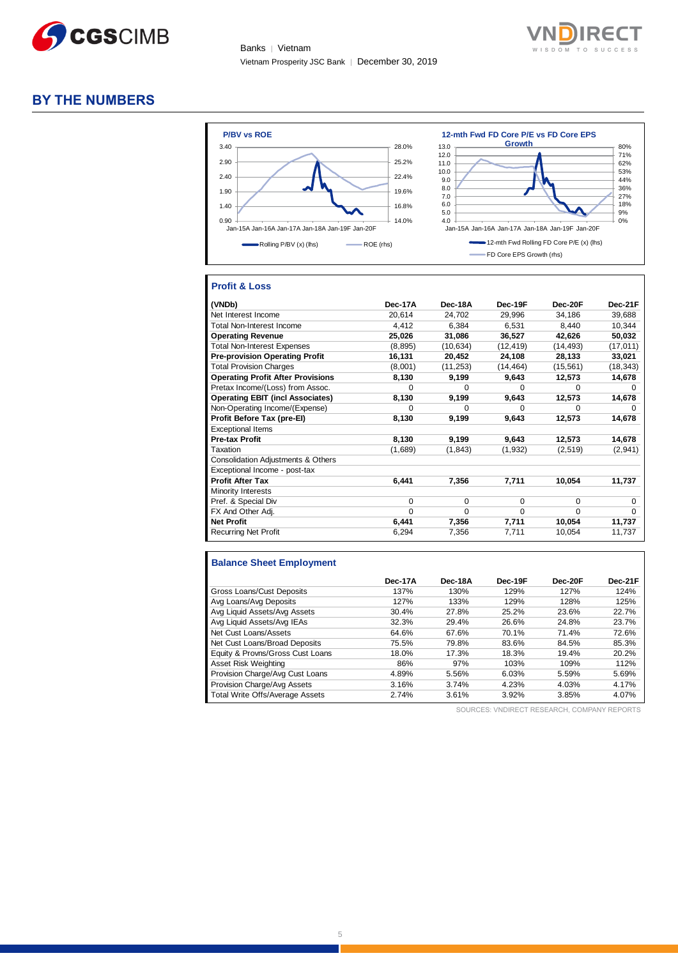



#### **BY THE NUMBERS**



#### **Profit & Loss**

| (VNDb)                                   | Dec-17A  | Dec-18A   | Dec-19F   | Dec-20F   | Dec-21F   |
|------------------------------------------|----------|-----------|-----------|-----------|-----------|
| Net Interest Income                      | 20,614   | 24,702    | 29,996    | 34,186    | 39,688    |
| Total Non-Interest Income                | 4,412    | 6.384     | 6.531     | 8,440     | 10,344    |
| <b>Operating Revenue</b>                 | 25,026   | 31,086    | 36,527    | 42,626    | 50,032    |
| <b>Total Non-Interest Expenses</b>       | (8,895)  | (10, 634) | (12, 419) | (14,493)  | (17,011)  |
| <b>Pre-provision Operating Profit</b>    | 16,131   | 20,452    | 24.108    | 28,133    | 33,021    |
| <b>Total Provision Charges</b>           | (8,001)  | (11, 253) | (14, 464) | (15, 561) | (18, 343) |
| <b>Operating Profit After Provisions</b> | 8,130    | 9,199     | 9,643     | 12,573    | 14,678    |
| Pretax Income/(Loss) from Assoc.         | $\Omega$ | $\Omega$  | $\Omega$  | $\Omega$  | 0         |
| <b>Operating EBIT (incl Associates)</b>  | 8,130    | 9,199     | 9,643     | 12,573    | 14,678    |
| Non-Operating Income/(Expense)           | $\Omega$ | ∩         | $\Omega$  | ∩         |           |
| Profit Before Tax (pre-El)               | 8,130    | 9,199     | 9,643     | 12,573    | 14,678    |
| <b>Exceptional Items</b>                 |          |           |           |           |           |
| <b>Pre-tax Profit</b>                    | 8,130    | 9,199     | 9,643     | 12,573    | 14,678    |
| Taxation                                 | (1,689)  | (1,843)   | (1,932)   | (2,519)   | (2,941)   |
| Consolidation Adjustments & Others       |          |           |           |           |           |
| Exceptional Income - post-tax            |          |           |           |           |           |
| <b>Profit After Tax</b>                  | 6,441    | 7,356     | 7,711     | 10,054    | 11,737    |
| Minority Interests                       |          |           |           |           |           |
| Pref. & Special Div                      | $\Omega$ | $\Omega$  | 0         | $\Omega$  | $\Omega$  |
| FX And Other Adj.                        | $\Omega$ | $\Omega$  | $\Omega$  | $\Omega$  | $\Omega$  |
| <b>Net Profit</b>                        | 6,441    | 7,356     | 7,711     | 10,054    | 11,737    |
| <b>Recurring Net Profit</b>              | 6,294    | 7.356     | 7,711     | 10.054    | 11,737    |

#### **Balance Sheet Employment**

|                                  | Dec-17A | Dec-18A | Dec-19F | Dec-20F | Dec-21F |
|----------------------------------|---------|---------|---------|---------|---------|
| Gross Loans/Cust Deposits        | 137%    | 130%    | 129%    | 127%    | 124%    |
| Avg Loans/Avg Deposits           | 127%    | 133%    | 129%    | 128%    | 125%    |
| Avg Liquid Assets/Avg Assets     | 30.4%   | 27.8%   | 25.2%   | 23.6%   | 22.7%   |
| Avg Liquid Assets/Avg IEAs       | 32.3%   | 29.4%   | 26.6%   | 24.8%   | 23.7%   |
| Net Cust Loans/Assets            | 64.6%   | 67.6%   | 70.1%   | 71.4%   | 72.6%   |
| Net Cust Loans/Broad Deposits    | 75.5%   | 79.8%   | 83.6%   | 84.5%   | 85.3%   |
| Equity & Provns/Gross Cust Loans | 18.0%   | 17.3%   | 18.3%   | 19.4%   | 20.2%   |
| Asset Risk Weighting             | 86%     | 97%     | 103%    | 109%    | 112%    |
| Provision Charge/Avg Cust Loans  | 4.89%   | 5.56%   | 6.03%   | 5.59%   | 5.69%   |
| Provision Charge/Avg Assets      | 3.16%   | 3.74%   | 4.23%   | 4.03%   | 4.17%   |
| Total Write Offs/Average Assets  | 2.74%   | 3.61%   | 3.92%   | 3.85%   | 4.07%   |

SOURCES: VNDIRECT RESEARCH, COMPANY REPORTS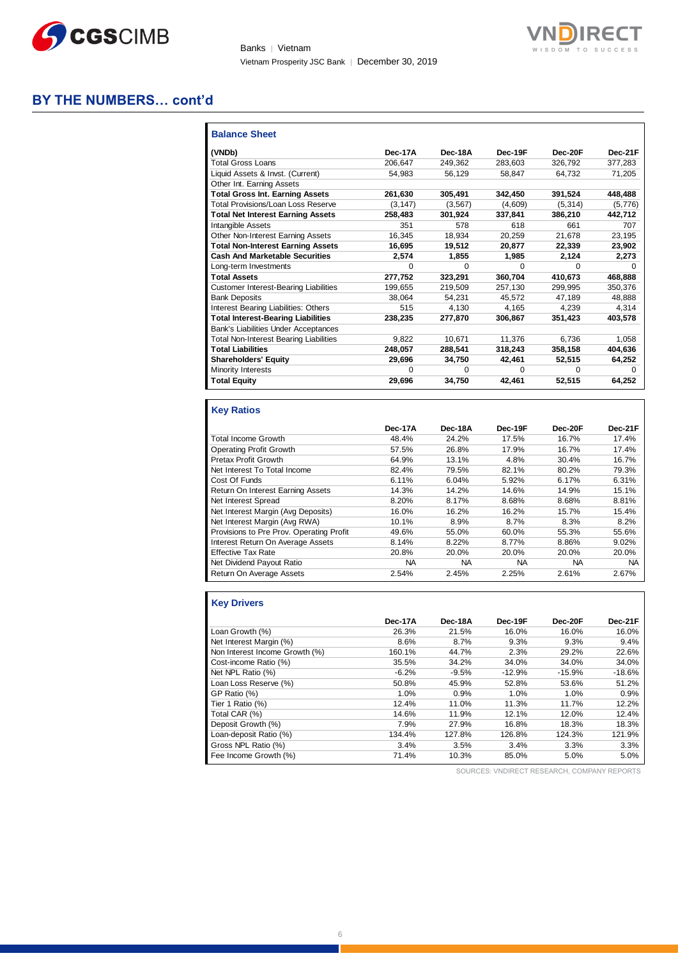

Banks | Vietnam Vietnam Prosperity JSC Bank │ December 30, 2019



#### **BY THE NUMBERS… cont'd**

| <b>Balance Sheet</b>                          |          |          |         |         |         |
|-----------------------------------------------|----------|----------|---------|---------|---------|
| (VNDb)                                        | Dec-17A  | Dec-18A  | Dec-19F | Dec-20F | Dec-21F |
| <b>Total Gross Loans</b>                      | 206,647  | 249.362  | 283,603 | 326,792 | 377,283 |
| Liquid Assets & Invst. (Current)              | 54.983   | 56.129   | 58.847  | 64.732  | 71,205  |
| Other Int. Earning Assets                     |          |          |         |         |         |
| <b>Total Gross Int. Earning Assets</b>        | 261,630  | 305,491  | 342,450 | 391,524 | 448,488 |
| <b>Total Provisions/Loan Loss Reserve</b>     | (3, 147) | (3, 567) | (4,609) | (5,314) | (5,776) |
| <b>Total Net Interest Earning Assets</b>      | 258.483  | 301,924  | 337,841 | 386,210 | 442,712 |
| <b>Intangible Assets</b>                      | 351      | 578      | 618     | 661     | 707     |
| Other Non-Interest Earning Assets             | 16.345   | 18.934   | 20.259  | 21.678  | 23,195  |
| <b>Total Non-Interest Earning Assets</b>      | 16,695   | 19,512   | 20,877  | 22,339  | 23,902  |
| <b>Cash And Marketable Securities</b>         | 2,574    | 1,855    | 1,985   | 2.124   | 2,273   |
| Long-term Investments                         | O        | 0        | U       | 0       | 0       |
| <b>Total Assets</b>                           | 277,752  | 323,291  | 360,704 | 410.673 | 468,888 |
| <b>Customer Interest-Bearing Liabilities</b>  | 199.655  | 219.509  | 257,130 | 299.995 | 350.376 |
| <b>Bank Deposits</b>                          | 38,064   | 54,231   | 45.572  | 47,189  | 48,888  |
| Interest Bearing Liabilities: Others          | 515      | 4.130    | 4.165   | 4.239   | 4.314   |
| <b>Total Interest-Bearing Liabilities</b>     | 238.235  | 277.870  | 306.867 | 351.423 | 403.578 |
| Bank's Liabilities Under Acceptances          |          |          |         |         |         |
| <b>Total Non-Interest Bearing Liabilities</b> | 9,822    | 10.671   | 11.376  | 6.736   | 1,058   |
| <b>Total Liabilities</b>                      | 248,057  | 288,541  | 318,243 | 358,158 | 404,636 |
| <b>Shareholders' Equity</b>                   | 29,696   | 34,750   | 42,461  | 52,515  | 64,252  |
| Minority Interests                            | O        | 0        | U       | 0       | 0       |
| <b>Total Equity</b>                           | 29,696   | 34,750   | 42,461  | 52,515  | 64,252  |

#### **Key Ratios**

|                                          | Dec-17A   | Dec-18A   | Dec-19F   | Dec-20F   | Dec-21F   |
|------------------------------------------|-----------|-----------|-----------|-----------|-----------|
| <b>Total Income Growth</b>               | 48.4%     | 24.2%     | 17.5%     | 16.7%     | 17.4%     |
| <b>Operating Profit Growth</b>           | 57.5%     | 26.8%     | 17.9%     | 16.7%     | 17.4%     |
| Pretax Profit Growth                     | 64.9%     | 13.1%     | 4.8%      | 30.4%     | 16.7%     |
| Net Interest To Total Income             | 82.4%     | 79.5%     | 82.1%     | 80.2%     | 79.3%     |
| Cost Of Funds                            | 6.11%     | 6.04%     | 5.92%     | 6.17%     | 6.31%     |
| Return On Interest Earning Assets        | 14.3%     | 14.2%     | 14.6%     | 14.9%     | 15.1%     |
| Net Interest Spread                      | 8.20%     | 8.17%     | 8.68%     | 8.68%     | 8.81%     |
| Net Interest Margin (Avg Deposits)       | 16.0%     | 16.2%     | 16.2%     | 15.7%     | 15.4%     |
| Net Interest Margin (Avg RWA)            | 10.1%     | 8.9%      | 8.7%      | 8.3%      | 8.2%      |
| Provisions to Pre Prov. Operating Profit | 49.6%     | 55.0%     | 60.0%     | 55.3%     | 55.6%     |
| Interest Return On Average Assets        | 8.14%     | 8.22%     | 8.77%     | 8.86%     | 9.02%     |
| <b>Effective Tax Rate</b>                | 20.8%     | 20.0%     | 20.0%     | 20.0%     | 20.0%     |
| Net Dividend Payout Ratio                | <b>NA</b> | <b>NA</b> | <b>NA</b> | <b>NA</b> | <b>NA</b> |
| Return On Average Assets                 | 2.54%     | 2.45%     | 2.25%     | 2.61%     | 2.67%     |

#### **Key Drivers**

|                                | Dec-17A | Dec-18A | Dec-19F  | Dec-20F  | Dec-21F  |
|--------------------------------|---------|---------|----------|----------|----------|
| Loan Growth (%)                | 26.3%   | 21.5%   | 16.0%    | 16.0%    | 16.0%    |
| Net Interest Margin (%)        | 8.6%    | 8.7%    | 9.3%     | 9.3%     | 9.4%     |
| Non Interest Income Growth (%) | 160.1%  | 44.7%   | 2.3%     | 29.2%    | 22.6%    |
| Cost-income Ratio (%)          | 35.5%   | 34.2%   | 34.0%    | 34.0%    | 34.0%    |
| Net NPL Ratio (%)              | $-6.2%$ | $-9.5%$ | $-12.9%$ | $-15.9%$ | $-18.6%$ |
| Loan Loss Reserve (%)          | 50.8%   | 45.9%   | 52.8%    | 53.6%    | 51.2%    |
| GP Ratio (%)                   | 1.0%    | 0.9%    | 1.0%     | 1.0%     | 0.9%     |
| Tier 1 Ratio (%)               | 12.4%   | 11.0%   | 11.3%    | 11.7%    | 12.2%    |
| Total CAR (%)                  | 14.6%   | 11.9%   | 12.1%    | 12.0%    | 12.4%    |
| Deposit Growth (%)             | 7.9%    | 27.9%   | 16.8%    | 18.3%    | 18.3%    |
| Loan-deposit Ratio (%)         | 134.4%  | 127.8%  | 126.8%   | 124.3%   | 121.9%   |
| Gross NPL Ratio (%)            | 3.4%    | 3.5%    | 3.4%     | 3.3%     | 3.3%     |
| Fee Income Growth (%)          | 71.4%   | 10.3%   | 85.0%    | 5.0%     | 5.0%     |

SOURCES: VNDIRECT RESEARCH, COMPANY REPORTS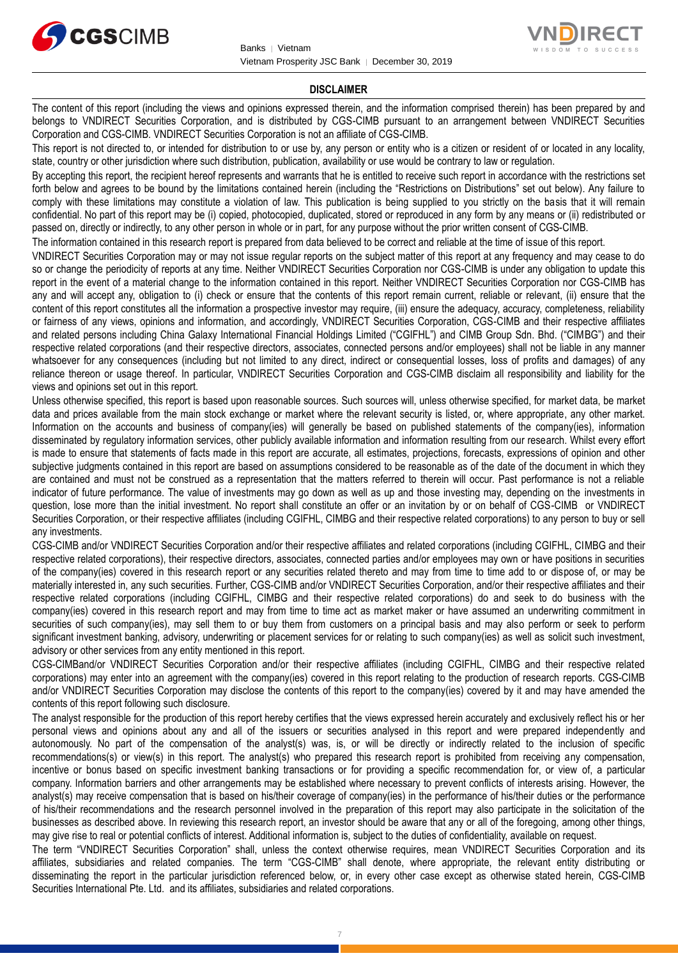



#### **DISCLAIMER**

The content of this report (including the views and opinions expressed therein, and the information comprised therein) has been prepared by and belongs to VNDIRECT Securities Corporation, and is distributed by CGS-CIMB pursuant to an arrangement between VNDIRECT Securities Corporation and CGS-CIMB. VNDIRECT Securities Corporation is not an affiliate of CGS-CIMB.

This report is not directed to, or intended for distribution to or use by, any person or entity who is a citizen or resident of or located in any locality, state, country or other jurisdiction where such distribution, publication, availability or use would be contrary to law or regulation.

By accepting this report, the recipient hereof represents and warrants that he is entitled to receive such report in accordance with the restrictions set forth below and agrees to be bound by the limitations contained herein (including the "Restrictions on Distributions" set out below). Any failure to comply with these limitations may constitute a violation of law. This publication is being supplied to you strictly on the basis that it will remain confidential. No part of this report may be (i) copied, photocopied, duplicated, stored or reproduced in any form by any means or (ii) redistributed or passed on, directly or indirectly, to any other person in whole or in part, for any purpose without the prior written consent of CGS-CIMB.

The information contained in this research report is prepared from data believed to be correct and reliable at the time of issue of this report.

VNDIRECT Securities Corporation may or may not issue regular reports on the subject matter of this report at any frequency and may cease to do so or change the periodicity of reports at any time. Neither VNDIRECT Securities Corporation nor CGS-CIMB is under any obligation to update this report in the event of a material change to the information contained in this report. Neither VNDIRECT Securities Corporation nor CGS-CIMB has any and will accept any, obligation to (i) check or ensure that the contents of this report remain current, reliable or relevant, (ii) ensure that the content of this report constitutes all the information a prospective investor may require, (iii) ensure the adequacy, accuracy, completeness, reliability or fairness of any views, opinions and information, and accordingly, VNDIRECT Securities Corporation, CGS-CIMB and their respective affiliates and related persons including China Galaxy International Financial Holdings Limited ("CGIFHL") and CIMB Group Sdn. Bhd. ("CIMBG") and their respective related corporations (and their respective directors, associates, connected persons and/or employees) shall not be liable in any manner whatsoever for any consequences (including but not limited to any direct, indirect or consequential losses, loss of profits and damages) of any reliance thereon or usage thereof. In particular, VNDIRECT Securities Corporation and CGS-CIMB disclaim all responsibility and liability for the views and opinions set out in this report.

Unless otherwise specified, this report is based upon reasonable sources. Such sources will, unless otherwise specified, for market data, be market data and prices available from the main stock exchange or market where the relevant security is listed, or, where appropriate, any other market. Information on the accounts and business of company(ies) will generally be based on published statements of the company(ies), information disseminated by regulatory information services, other publicly available information and information resulting from our research. Whilst every effort is made to ensure that statements of facts made in this report are accurate, all estimates, projections, forecasts, expressions of opinion and other subjective judgments contained in this report are based on assumptions considered to be reasonable as of the date of the document in which they are contained and must not be construed as a representation that the matters referred to therein will occur. Past performance is not a reliable indicator of future performance. The value of investments may go down as well as up and those investing may, depending on the investments in question, lose more than the initial investment. No report shall constitute an offer or an invitation by or on behalf of CGS-CIMB or VNDIRECT Securities Corporation, or their respective affiliates (including CGIFHL, CIMBG and their respective related corporations) to any person to buy or sell any investments.

CGS-CIMB and/or VNDIRECT Securities Corporation and/or their respective affiliates and related corporations (including CGIFHL, CIMBG and their respective related corporations), their respective directors, associates, connected parties and/or employees may own or have positions in securities of the company(ies) covered in this research report or any securities related thereto and may from time to time add to or dispose of, or may be materially interested in, any such securities. Further, CGS-CIMB and/or VNDIRECT Securities Corporation, and/or their respective affiliates and their respective related corporations (including CGIFHL, CIMBG and their respective related corporations) do and seek to do business with the company(ies) covered in this research report and may from time to time act as market maker or have assumed an underwriting commitment in securities of such company(ies), may sell them to or buy them from customers on a principal basis and may also perform or seek to perform significant investment banking, advisory, underwriting or placement services for or relating to such company(ies) as well as solicit such investment, advisory or other services from any entity mentioned in this report.

CGS-CIMBand/or VNDIRECT Securities Corporation and/or their respective affiliates (including CGIFHL, CIMBG and their respective related corporations) may enter into an agreement with the company(ies) covered in this report relating to the production of research reports. CGS-CIMB and/or VNDIRECT Securities Corporation may disclose the contents of this report to the company(ies) covered by it and may have amended the contents of this report following such disclosure.

The analyst responsible for the production of this report hereby certifies that the views expressed herein accurately and exclusively reflect his or her personal views and opinions about any and all of the issuers or securities analysed in this report and were prepared independently and autonomously. No part of the compensation of the analyst(s) was, is, or will be directly or indirectly related to the inclusion of specific recommendations(s) or view(s) in this report. The analyst(s) who prepared this research report is prohibited from receiving any compensation, incentive or bonus based on specific investment banking transactions or for providing a specific recommendation for, or view of, a particular company. Information barriers and other arrangements may be established where necessary to prevent conflicts of interests arising. However, the analyst(s) may receive compensation that is based on his/their coverage of company(ies) in the performance of his/their duties or the performance of his/their recommendations and the research personnel involved in the preparation of this report may also participate in the solicitation of the businesses as described above. In reviewing this research report, an investor should be aware that any or all of the foregoing, among other things, may give rise to real or potential conflicts of interest. Additional information is, subject to the duties of confidentiality, available on request.

The term "VNDIRECT Securities Corporation" shall, unless the context otherwise requires, mean VNDIRECT Securities Corporation and its affiliates, subsidiaries and related companies. The term "CGS-CIMB" shall denote, where appropriate, the relevant entity distributing or disseminating the report in the particular jurisdiction referenced below, or, in every other case except as otherwise stated herein, CGS-CIMB Securities International Pte. Ltd. and its affiliates, subsidiaries and related corporations.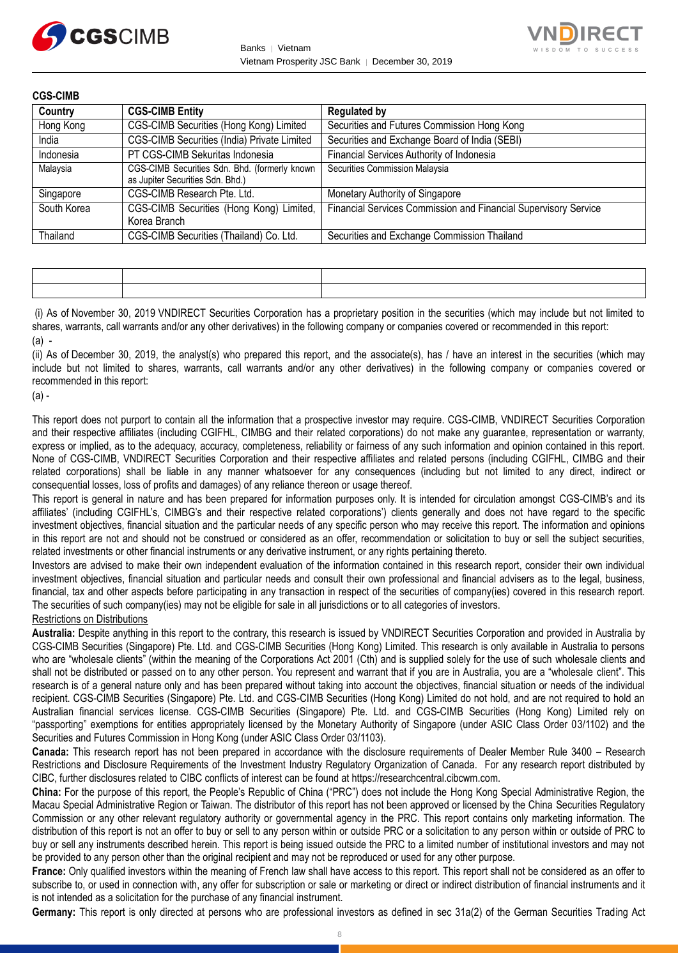



| <b>CGS-CIMB</b> |                                                                                   |                                                                 |
|-----------------|-----------------------------------------------------------------------------------|-----------------------------------------------------------------|
| Country         | <b>CGS-CIMB Entity</b>                                                            | <b>Regulated by</b>                                             |
| Hong Kong       | CGS-CIMB Securities (Hong Kong) Limited                                           | Securities and Futures Commission Hong Kong                     |
| India           | CGS-CIMB Securities (India) Private Limited                                       | Securities and Exchange Board of India (SEBI)                   |
| Indonesia       | PT CGS-CIMB Sekuritas Indonesia                                                   | Financial Services Authority of Indonesia                       |
| Malaysia        | CGS-CIMB Securities Sdn. Bhd. (formerly known<br>as Jupiter Securities Sdn. Bhd.) | Securities Commission Malaysia                                  |
| Singapore       | CGS-CIMB Research Pte. Ltd.                                                       | Monetary Authority of Singapore                                 |
| South Korea     | CGS-CIMB Securities (Hong Kong) Limited,<br>Korea Branch                          | Financial Services Commission and Financial Supervisory Service |
| Thailand        | CGS-CIMB Securities (Thailand) Co. Ltd.                                           | Securities and Exchange Commission Thailand                     |

(i) As of November 30, 2019 VNDIRECT Securities Corporation has a proprietary position in the securities (which may include but not limited to shares, warrants, call warrants and/or any other derivatives) in the following company or companies covered or recommended in this report:  $(a)$  -

(ii) As of December 30, 2019, the analyst(s) who prepared this report, and the associate(s), has / have an interest in the securities (which may include but not limited to shares, warrants, call warrants and/or any other derivatives) in the following company or companies covered or recommended in this report:

 $(a)$ .

This report does not purport to contain all the information that a prospective investor may require. CGS-CIMB, VNDIRECT Securities Corporation and their respective affiliates (including CGIFHL, CIMBG and their related corporations) do not make any guarantee, representation or warranty, express or implied, as to the adequacy, accuracy, completeness, reliability or fairness of any such information and opinion contained in this report. None of CGS-CIMB, VNDIRECT Securities Corporation and their respective affiliates and related persons (including CGIFHL, CIMBG and their related corporations) shall be liable in any manner whatsoever for any consequences (including but not limited to any direct, indirect or consequential losses, loss of profits and damages) of any reliance thereon or usage thereof.

This report is general in nature and has been prepared for information purposes only. It is intended for circulation amongst CGS-CIMB's and its affiliates' (including CGIFHL's, CIMBG's and their respective related corporations') clients generally and does not have regard to the specific investment objectives, financial situation and the particular needs of any specific person who may receive this report. The information and opinions in this report are not and should not be construed or considered as an offer, recommendation or solicitation to buy or sell the subject securities, related investments or other financial instruments or any derivative instrument, or any rights pertaining thereto.

Investors are advised to make their own independent evaluation of the information contained in this research report, consider their own individual investment objectives, financial situation and particular needs and consult their own professional and financial advisers as to the legal, business, financial, tax and other aspects before participating in any transaction in respect of the securities of company(ies) covered in this research report. The securities of such company(ies) may not be eligible for sale in all jurisdictions or to all categories of investors.

#### Restrictions on Distributions

**Australia:** Despite anything in this report to the contrary, this research is issued by VNDIRECT Securities Corporation and provided in Australia by CGS-CIMB Securities (Singapore) Pte. Ltd. and CGS-CIMB Securities (Hong Kong) Limited. This research is only available in Australia to persons who are "wholesale clients" (within the meaning of the Corporations Act 2001 (Cth) and is supplied solely for the use of such wholesale clients and shall not be distributed or passed on to any other person. You represent and warrant that if you are in Australia, you are a "wholesale client". This research is of a general nature only and has been prepared without taking into account the objectives, financial situation or needs of the individual recipient. CGS-CIMB Securities (Singapore) Pte. Ltd. and CGS-CIMB Securities (Hong Kong) Limited do not hold, and are not required to hold an Australian financial services license. CGS-CIMB Securities (Singapore) Pte. Ltd. and CGS-CIMB Securities (Hong Kong) Limited rely on "passporting" exemptions for entities appropriately licensed by the Monetary Authority of Singapore (under ASIC Class Order 03/1102) and the Securities and Futures Commission in Hong Kong (under ASIC Class Order 03/1103).

**Canada:** This research report has not been prepared in accordance with the disclosure requirements of Dealer Member Rule 3400 – Research Restrictions and Disclosure Requirements of the Investment Industry Regulatory Organization of Canada. For any research report distributed by CIBC, further disclosures related to CIBC conflicts of interest can be found at https://researchcentral.cibcwm.com.

**China:** For the purpose of this report, the People's Republic of China ("PRC") does not include the Hong Kong Special Administrative Region, the Macau Special Administrative Region or Taiwan. The distributor of this report has not been approved or licensed by the China Securities Regulatory Commission or any other relevant regulatory authority or governmental agency in the PRC. This report contains only marketing information. The distribution of this report is not an offer to buy or sell to any person within or outside PRC or a solicitation to any person within or outside of PRC to buy or sell any instruments described herein. This report is being issued outside the PRC to a limited number of institutional investors and may not be provided to any person other than the original recipient and may not be reproduced or used for any other purpose.

**France:** Only qualified investors within the meaning of French law shall have access to this report. This report shall not be considered as an offer to subscribe to, or used in connection with, any offer for subscription or sale or marketing or direct or indirect distribution of financial instruments and it is not intended as a solicitation for the purchase of any financial instrument.

**Germany:** This report is only directed at persons who are professional investors as defined in sec 31a(2) of the German Securities Trading Act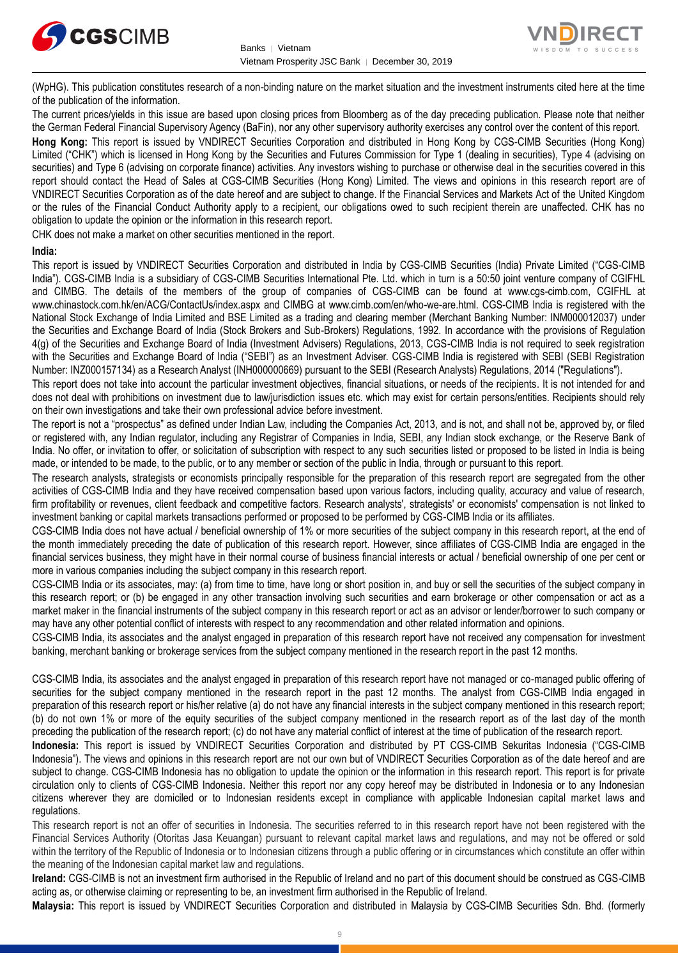



(WpHG). This publication constitutes research of a non-binding nature on the market situation and the investment instruments cited here at the time of the publication of the information.

The current prices/yields in this issue are based upon closing prices from Bloomberg as of the day preceding publication. Please note that neither the German Federal Financial Supervisory Agency (BaFin), nor any other supervisory authority exercises any control over the content of this report.

**Hong Kong:** This report is issued by VNDIRECT Securities Corporation and distributed in Hong Kong by CGS-CIMB Securities (Hong Kong) Limited ("CHK") which is licensed in Hong Kong by the Securities and Futures Commission for Type 1 (dealing in securities), Type 4 (advising on securities) and Type 6 (advising on corporate finance) activities. Any investors wishing to purchase or otherwise deal in the securities covered in this report should contact the Head of Sales at CGS-CIMB Securities (Hong Kong) Limited. The views and opinions in this research report are of VNDIRECT Securities Corporation as of the date hereof and are subject to change. If the Financial Services and Markets Act of the United Kingdom or the rules of the Financial Conduct Authority apply to a recipient, our obligations owed to such recipient therein are unaffected. CHK has no obligation to update the opinion or the information in this research report.

CHK does not make a market on other securities mentioned in the report.

#### **India:**

This report is issued by VNDIRECT Securities Corporation and distributed in India by CGS-CIMB Securities (India) Private Limited ("CGS-CIMB India"). CGS-CIMB India is a subsidiary of CGS-CIMB Securities International Pte. Ltd. which in turn is a 50:50 joint venture company of CGIFHL and CIMBG. The details of the members of the group of companies of CGS-CIMB can be found at www.cgs-cimb.com, CGIFHL at www.chinastock.com.hk/en/ACG/ContactUs/index.aspx and CIMBG at www.cimb.com/en/who-we-are.html. CGS-CIMB India is registered with the National Stock Exchange of India Limited and BSE Limited as a trading and clearing member (Merchant Banking Number: INM000012037) under the Securities and Exchange Board of India (Stock Brokers and Sub-Brokers) Regulations, 1992. In accordance with the provisions of Regulation 4(g) of the Securities and Exchange Board of India (Investment Advisers) Regulations, 2013, CGS-CIMB India is not required to seek registration with the Securities and Exchange Board of India ("SEBI") as an Investment Adviser. CGS-CIMB India is registered with SEBI (SEBI Registration Number: INZ000157134) as a Research Analyst (INH000000669) pursuant to the SEBI (Research Analysts) Regulations, 2014 ("Regulations").

This report does not take into account the particular investment objectives, financial situations, or needs of the recipients. It is not intended for and does not deal with prohibitions on investment due to law/jurisdiction issues etc. which may exist for certain persons/entities. Recipients should rely on their own investigations and take their own professional advice before investment.

The report is not a "prospectus" as defined under Indian Law, including the Companies Act, 2013, and is not, and shall not be, approved by, or filed or registered with, any Indian regulator, including any Registrar of Companies in India, SEBI, any Indian stock exchange, or the Reserve Bank of India. No offer, or invitation to offer, or solicitation of subscription with respect to any such securities listed or proposed to be listed in India is being made, or intended to be made, to the public, or to any member or section of the public in India, through or pursuant to this report.

The research analysts, strategists or economists principally responsible for the preparation of this research report are segregated from the other activities of CGS-CIMB India and they have received compensation based upon various factors, including quality, accuracy and value of research, firm profitability or revenues, client feedback and competitive factors. Research analysts', strategists' or economists' compensation is not linked to investment banking or capital markets transactions performed or proposed to be performed by CGS-CIMB India or its affiliates.

CGS-CIMB India does not have actual / beneficial ownership of 1% or more securities of the subject company in this research report, at the end of the month immediately preceding the date of publication of this research report. However, since affiliates of CGS-CIMB India are engaged in the financial services business, they might have in their normal course of business financial interests or actual / beneficial ownership of one per cent or more in various companies including the subject company in this research report.

CGS-CIMB India or its associates, may: (a) from time to time, have long or short position in, and buy or sell the securities of the subject company in this research report; or (b) be engaged in any other transaction involving such securities and earn brokerage or other compensation or act as a market maker in the financial instruments of the subject company in this research report or act as an advisor or lender/borrower to such company or may have any other potential conflict of interests with respect to any recommendation and other related information and opinions.

CGS-CIMB India, its associates and the analyst engaged in preparation of this research report have not received any compensation for investment banking, merchant banking or brokerage services from the subject company mentioned in the research report in the past 12 months.

CGS-CIMB India, its associates and the analyst engaged in preparation of this research report have not managed or co-managed public offering of securities for the subject company mentioned in the research report in the past 12 months. The analyst from CGS-CIMB India engaged in preparation of this research report or his/her relative (a) do not have any financial interests in the subject company mentioned in this research report; (b) do not own 1% or more of the equity securities of the subject company mentioned in the research report as of the last day of the month preceding the publication of the research report; (c) do not have any material conflict of interest at the time of publication of the research report.

**Indonesia:** This report is issued by VNDIRECT Securities Corporation and distributed by PT CGS-CIMB Sekuritas Indonesia ("CGS-CIMB Indonesia"). The views and opinions in this research report are not our own but of VNDIRECT Securities Corporation as of the date hereof and are subject to change. CGS-CIMB Indonesia has no obligation to update the opinion or the information in this research report. This report is for private circulation only to clients of CGS-CIMB Indonesia. Neither this report nor any copy hereof may be distributed in Indonesia or to any Indonesian citizens wherever they are domiciled or to Indonesian residents except in compliance with applicable Indonesian capital market laws and regulations.

This research report is not an offer of securities in Indonesia. The securities referred to in this research report have not been registered with the Financial Services Authority (Otoritas Jasa Keuangan) pursuant to relevant capital market laws and regulations, and may not be offered or sold within the territory of the Republic of Indonesia or to Indonesian citizens through a public offering or in circumstances which constitute an offer within the meaning of the Indonesian capital market law and regulations.

**Ireland:** CGS-CIMB is not an investment firm authorised in the Republic of Ireland and no part of this document should be construed as CGS-CIMB acting as, or otherwise claiming or representing to be, an investment firm authorised in the Republic of Ireland.

**Malaysia:** This report is issued by VNDIRECT Securities Corporation and distributed in Malaysia by CGS-CIMB Securities Sdn. Bhd. (formerly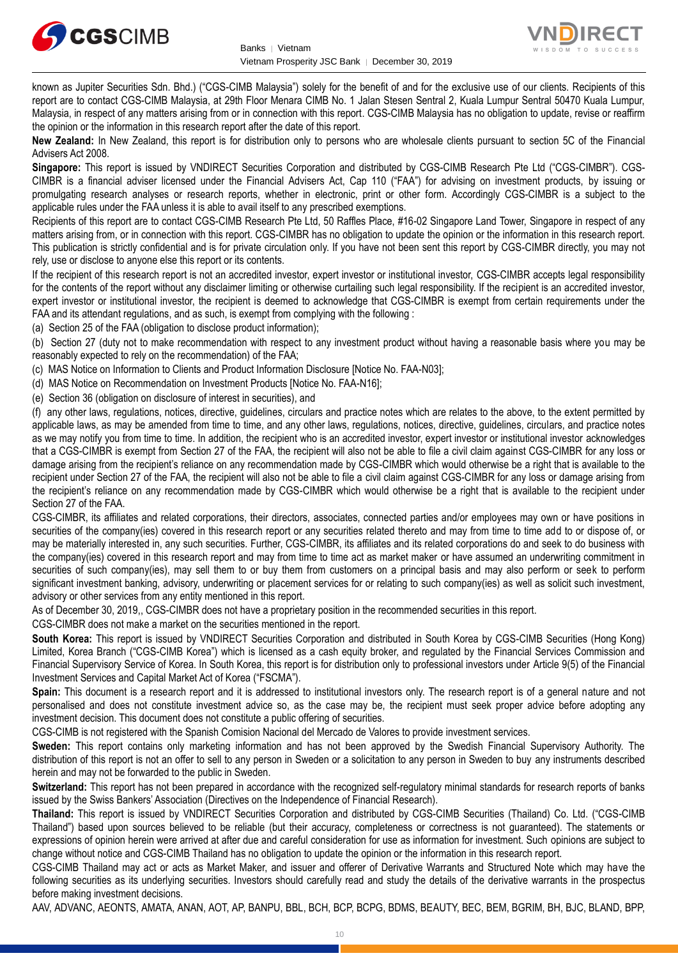



known as Jupiter Securities Sdn. Bhd.) ("CGS-CIMB Malaysia") solely for the benefit of and for the exclusive use of our clients. Recipients of this report are to contact CGS-CIMB Malaysia, at 29th Floor Menara CIMB No. 1 Jalan Stesen Sentral 2, Kuala Lumpur Sentral 50470 Kuala Lumpur, Malaysia, in respect of any matters arising from or in connection with this report. CGS-CIMB Malaysia has no obligation to update, revise or reaffirm the opinion or the information in this research report after the date of this report.

**New Zealand:** In New Zealand, this report is for distribution only to persons who are wholesale clients pursuant to section 5C of the Financial Advisers Act 2008.

**Singapore:** This report is issued by VNDIRECT Securities Corporation and distributed by CGS-CIMB Research Pte Ltd ("CGS-CIMBR"). CGS-CIMBR is a financial adviser licensed under the Financial Advisers Act, Cap 110 ("FAA") for advising on investment products, by issuing or promulgating research analyses or research reports, whether in electronic, print or other form. Accordingly CGS-CIMBR is a subject to the applicable rules under the FAA unless it is able to avail itself to any prescribed exemptions.

Recipients of this report are to contact CGS-CIMB Research Pte Ltd, 50 Raffles Place, #16-02 Singapore Land Tower, Singapore in respect of any matters arising from, or in connection with this report. CGS-CIMBR has no obligation to update the opinion or the information in this research report. This publication is strictly confidential and is for private circulation only. If you have not been sent this report by CGS-CIMBR directly, you may not rely, use or disclose to anyone else this report or its contents.

If the recipient of this research report is not an accredited investor, expert investor or institutional investor, CGS-CIMBR accepts legal responsibility for the contents of the report without any disclaimer limiting or otherwise curtailing such legal responsibility. If the recipient is an accredited investor, expert investor or institutional investor, the recipient is deemed to acknowledge that CGS-CIMBR is exempt from certain requirements under the FAA and its attendant regulations, and as such, is exempt from complying with the following :

(a) Section 25 of the FAA (obligation to disclose product information);

(b) Section 27 (duty not to make recommendation with respect to any investment product without having a reasonable basis where you may be reasonably expected to rely on the recommendation) of the FAA;

(c) MAS Notice on Information to Clients and Product Information Disclosure [Notice No. FAA-N03];

(d) MAS Notice on Recommendation on Investment Products [Notice No. FAA-N16];

(e) Section 36 (obligation on disclosure of interest in securities), and

(f) any other laws, regulations, notices, directive, guidelines, circulars and practice notes which are relates to the above, to the extent permitted by applicable laws, as may be amended from time to time, and any other laws, regulations, notices, directive, guidelines, circulars, and practice notes as we may notify you from time to time. In addition, the recipient who is an accredited investor, expert investor or institutional investor acknowledges that a CGS-CIMBR is exempt from Section 27 of the FAA, the recipient will also not be able to file a civil claim against CGS-CIMBR for any loss or damage arising from the recipient's reliance on any recommendation made by CGS-CIMBR which would otherwise be a right that is available to the recipient under Section 27 of the FAA, the recipient will also not be able to file a civil claim against CGS-CIMBR for any loss or damage arising from the recipient's reliance on any recommendation made by CGS-CIMBR which would otherwise be a right that is available to the recipient under Section 27 of the FAA.

CGS-CIMBR, its affiliates and related corporations, their directors, associates, connected parties and/or employees may own or have positions in securities of the company(ies) covered in this research report or any securities related thereto and may from time to time add to or dispose of, or may be materially interested in, any such securities. Further, CGS-CIMBR, its affiliates and its related corporations do and seek to do business with the company(ies) covered in this research report and may from time to time act as market maker or have assumed an underwriting commitment in securities of such company(ies), may sell them to or buy them from customers on a principal basis and may also perform or seek to perform significant investment banking, advisory, underwriting or placement services for or relating to such company(ies) as well as solicit such investment, advisory or other services from any entity mentioned in this report.

As of December 30, 2019,, CGS-CIMBR does not have a proprietary position in the recommended securities in this report.

CGS-CIMBR does not make a market on the securities mentioned in the report.

**South Korea:** This report is issued by VNDIRECT Securities Corporation and distributed in South Korea by CGS-CIMB Securities (Hong Kong) Limited, Korea Branch ("CGS-CIMB Korea") which is licensed as a cash equity broker, and regulated by the Financial Services Commission and Financial Supervisory Service of Korea. In South Korea, this report is for distribution only to professional investors under Article 9(5) of the Financial Investment Services and Capital Market Act of Korea ("FSCMA").

**Spain:** This document is a research report and it is addressed to institutional investors only. The research report is of a general nature and not personalised and does not constitute investment advice so, as the case may be, the recipient must seek proper advice before adopting any investment decision. This document does not constitute a public offering of securities.

CGS-CIMB is not registered with the Spanish Comision Nacional del Mercado de Valores to provide investment services.

**Sweden:** This report contains only marketing information and has not been approved by the Swedish Financial Supervisory Authority. The distribution of this report is not an offer to sell to any person in Sweden or a solicitation to any person in Sweden to buy any instruments described herein and may not be forwarded to the public in Sweden.

**Switzerland:** This report has not been prepared in accordance with the recognized self-regulatory minimal standards for research reports of banks issued by the Swiss Bankers' Association (Directives on the Independence of Financial Research).

**Thailand:** This report is issued by VNDIRECT Securities Corporation and distributed by CGS-CIMB Securities (Thailand) Co. Ltd. ("CGS-CIMB Thailand") based upon sources believed to be reliable (but their accuracy, completeness or correctness is not guaranteed). The statements or expressions of opinion herein were arrived at after due and careful consideration for use as information for investment. Such opinions are subject to change without notice and CGS-CIMB Thailand has no obligation to update the opinion or the information in this research report.

CGS-CIMB Thailand may act or acts as Market Maker, and issuer and offerer of Derivative Warrants and Structured Note which may have the following securities as its underlying securities. Investors should carefully read and study the details of the derivative warrants in the prospectus before making investment decisions.

AAV, ADVANC, AEONTS, AMATA, ANAN, AOT, AP, BANPU, BBL, BCH, BCP, BCPG, BDMS, BEAUTY, BEC, BEM, BGRIM, BH, BJC, BLAND, BPP,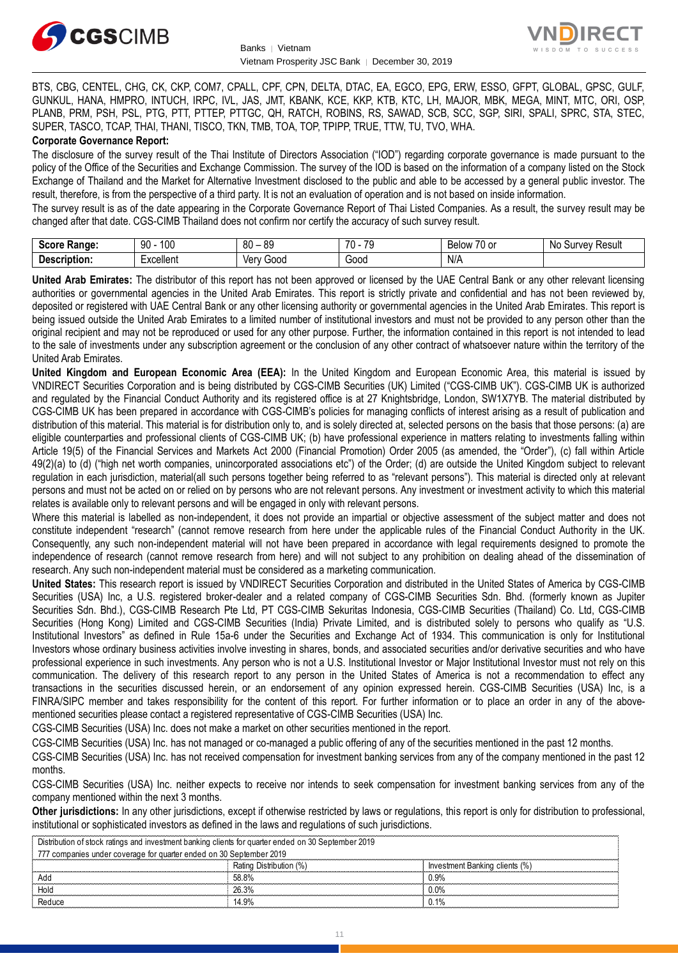



BTS, CBG, CENTEL, CHG, CK, CKP, COM7, CPALL, CPF, CPN, DELTA, DTAC, EA, EGCO, EPG, ERW, ESSO, GFPT, GLOBAL, GPSC, GULF, GUNKUL, HANA, HMPRO, INTUCH, IRPC, IVL, JAS, JMT, KBANK, KCE, KKP, KTB, KTC, LH, MAJOR, MBK, MEGA, MINT, MTC, ORI, OSP, PLANB, PRM, PSH, PSL, PTG, PTT, PTTEP, PTTGC, QH, RATCH, ROBINS, RS, SAWAD, SCB, SCC, SGP, SIRI, SPALI, SPRC, STA, STEC, SUPER, TASCO, TCAP, THAI, THANI, TISCO, TKN, TMB, TOA, TOP, TPIPP, TRUE, TTW, TU, TVO, WHA.

#### **Corporate Governance Report:**

The disclosure of the survey result of the Thai Institute of Directors Association ("IOD") regarding corporate governance is made pursuant to the policy of the Office of the Securities and Exchange Commission. The survey of the IOD is based on the information of a company listed on the Stock Exchange of Thailand and the Market for Alternative Investment disclosed to the public and able to be accessed by a general public investor. The result, therefore, is from the perspective of a third party. It is not an evaluation of operation and is not based on inside information.

The survey result is as of the date appearing in the Corporate Governance Report of Thai Listed Companies. As a result, the survey result may be changed after that date. CGS-CIMB Thailand does not confirm nor certify the accuracy of such survey result.

| <b>Score</b><br>Range: | 100<br>90     | R∩<br>ЯC<br>υu<br>vũ | $\overline{\phantom{a}}$<br>$\overline{\phantom{a}}$<br>., | $\overline{\phantom{a}}$<br>Below<br>′∪ or | N0<br>Result<br>∵ urvevس |
|------------------------|---------------|----------------------|------------------------------------------------------------|--------------------------------------------|--------------------------|
| Description:           | <br>:xcellent | Gooc<br>∨erv         | $\sim$<br>oou                                              | N/A                                        |                          |

**United Arab Emirates:** The distributor of this report has not been approved or licensed by the UAE Central Bank or any other relevant licensing authorities or governmental agencies in the United Arab Emirates. This report is strictly private and confidential and has not been reviewed by, deposited or registered with UAE Central Bank or any other licensing authority or governmental agencies in the United Arab Emirates. This report is being issued outside the United Arab Emirates to a limited number of institutional investors and must not be provided to any person other than the original recipient and may not be reproduced or used for any other purpose. Further, the information contained in this report is not intended to lead to the sale of investments under any subscription agreement or the conclusion of any other contract of whatsoever nature within the territory of the United Arab Emirates.

**United Kingdom and European Economic Area (EEA):** In the United Kingdom and European Economic Area, this material is issued by VNDIRECT Securities Corporation and is being distributed by CGS-CIMB Securities (UK) Limited ("CGS-CIMB UK"). CGS-CIMB UK is authorized and regulated by the Financial Conduct Authority and its registered office is at 27 Knightsbridge, London, SW1X7YB. The material distributed by CGS-CIMB UK has been prepared in accordance with CGS-CIMB's policies for managing conflicts of interest arising as a result of publication and distribution of this material. This material is for distribution only to, and is solely directed at, selected persons on the basis that those persons: (a) are eligible counterparties and professional clients of CGS-CIMB UK; (b) have professional experience in matters relating to investments falling within Article 19(5) of the Financial Services and Markets Act 2000 (Financial Promotion) Order 2005 (as amended, the "Order"), (c) fall within Article 49(2)(a) to (d) ("high net worth companies, unincorporated associations etc") of the Order; (d) are outside the United Kingdom subject to relevant regulation in each jurisdiction, material(all such persons together being referred to as "relevant persons"). This material is directed only at relevant persons and must not be acted on or relied on by persons who are not relevant persons. Any investment or investment activity to which this material relates is available only to relevant persons and will be engaged in only with relevant persons.

Where this material is labelled as non-independent, it does not provide an impartial or objective assessment of the subject matter and does not constitute independent "research" (cannot remove research from here under the applicable rules of the Financial Conduct Authority in the UK. Consequently, any such non-independent material will not have been prepared in accordance with legal requirements designed to promote the independence of research (cannot remove research from here) and will not subject to any prohibition on dealing ahead of the dissemination of research. Any such non-independent material must be considered as a marketing communication.

**United States:** This research report is issued by VNDIRECT Securities Corporation and distributed in the United States of America by CGS-CIMB Securities (USA) Inc, a U.S. registered broker-dealer and a related company of CGS-CIMB Securities Sdn. Bhd. (formerly known as Jupiter Securities Sdn. Bhd.), CGS-CIMB Research Pte Ltd, PT CGS-CIMB Sekuritas Indonesia, CGS-CIMB Securities (Thailand) Co. Ltd, CGS-CIMB Securities (Hong Kong) Limited and CGS-CIMB Securities (India) Private Limited, and is distributed solely to persons who qualify as "U.S. Institutional Investors" as defined in Rule 15a-6 under the Securities and Exchange Act of 1934. This communication is only for Institutional Investors whose ordinary business activities involve investing in shares, bonds, and associated securities and/or derivative securities and who have professional experience in such investments. Any person who is not a U.S. Institutional Investor or Major Institutional Investor must not rely on this communication. The delivery of this research report to any person in the United States of America is not a recommendation to effect any transactions in the securities discussed herein, or an endorsement of any opinion expressed herein. CGS-CIMB Securities (USA) Inc, is a FINRA/SIPC member and takes responsibility for the content of this report. For further information or to place an order in any of the abovementioned securities please contact a registered representative of CGS-CIMB Securities (USA) Inc.

CGS-CIMB Securities (USA) Inc. does not make a market on other securities mentioned in the report.

CGS-CIMB Securities (USA) Inc. has not managed or co-managed a public offering of any of the securities mentioned in the past 12 months.

CGS-CIMB Securities (USA) Inc. has not received compensation for investment banking services from any of the company mentioned in the past 12 months.

CGS-CIMB Securities (USA) Inc. neither expects to receive nor intends to seek compensation for investment banking services from any of the company mentioned within the next 3 months.

**Other jurisdictions:** In any other jurisdictions, except if otherwise restricted by laws or regulations, this report is only for distribution to professional, institutional or sophisticated investors as defined in the laws and regulations of such jurisdictions.

| Distribution of stock ratings and investment banking clients for quarter ended on 30 September 2019 |                         |                                |  |
|-----------------------------------------------------------------------------------------------------|-------------------------|--------------------------------|--|
| 777 companies under coverage for quarter ended on 30 September 2019                                 |                         |                                |  |
|                                                                                                     | Rating Distribution (%) | Investment Banking clients (%) |  |
| Add                                                                                                 | 58.8%                   | 0.9%                           |  |
| Hold                                                                                                | 26.3%                   | $0.0\%$                        |  |
| Reduce                                                                                              | 14.9%                   | $0.1\%$                        |  |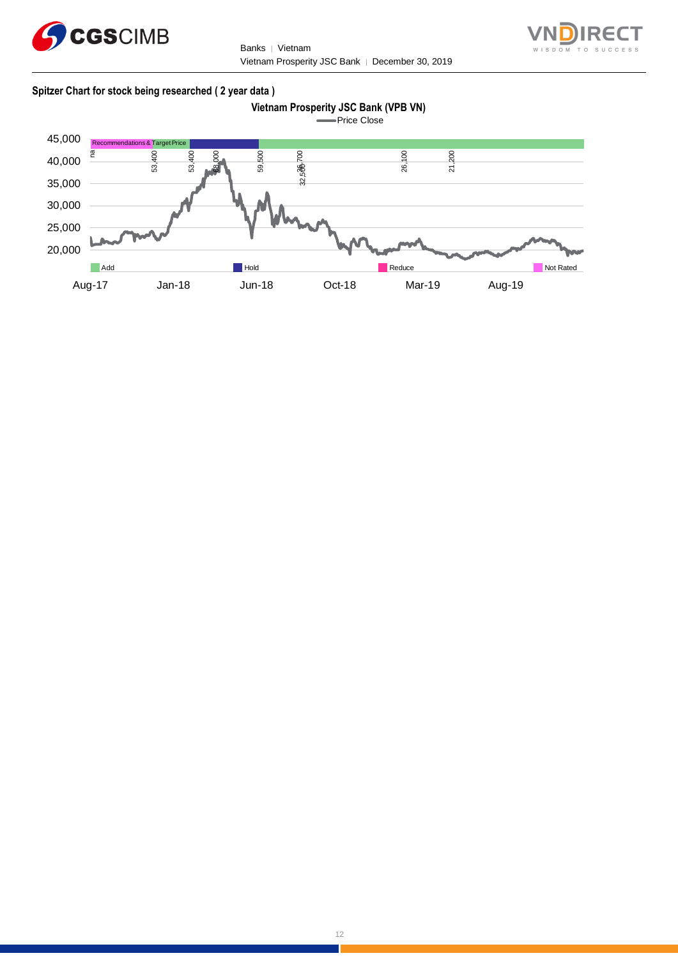

Banks | Vietnam Vietnam Prosperity JSC Bank │ December 30, 2019



#### **Spitzer Chart for stock being researched ( 2 year data )**



Price Close

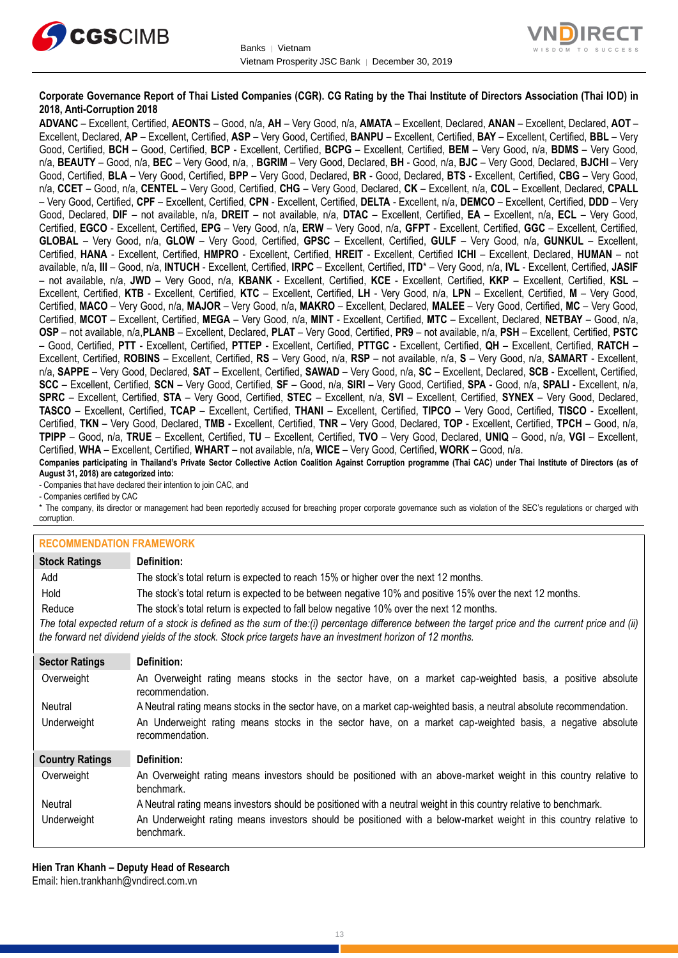



#### **Corporate Governance Report of Thai Listed Companies (CGR). CG Rating by the Thai Institute of Directors Association (Thai IOD) in 2018, Anti-Corruption 2018**

**ADVANC** – Excellent, Certified, **AEONTS** – Good, n/a, **AH** – Very Good, n/a, **AMATA** – Excellent, Declared, **ANAN** – Excellent, Declared, **AOT** – Excellent, Declared, **AP** – Excellent, Certified, **ASP** – Very Good, Certified, **BANPU** – Excellent, Certified, **BAY** – Excellent, Certified, **BBL** – Very Good, Certified, **BCH** – Good, Certified, **BCP** - Excellent, Certified, **BCPG** – Excellent, Certified, **BEM** – Very Good, n/a, **BDMS** – Very Good, n/a, **BEAUTY** – Good, n/a, **BEC** – Very Good, n/a, , **BGRIM** – Very Good, Declared, **BH** - Good, n/a, **BJC** – Very Good, Declared, **BJCHI** – Very Good, Certified, **BLA** – Very Good, Certified, **BPP** – Very Good, Declared, **BR** - Good, Declared, **BTS** - Excellent, Certified, **CBG** – Very Good, n/a, **CCET** – Good, n/a, **CENTEL** – Very Good, Certified, **CHG** – Very Good, Declared, **CK** – Excellent, n/a, **COL** – Excellent, Declared, **CPALL** – Very Good, Certified, **CPF** – Excellent, Certified, **CPN** - Excellent, Certified, **DELTA** - Excellent, n/a, **DEMCO** – Excellent, Certified, **DDD** – Very Good, Declared, **DIF** – not available, n/a, **DREIT** – not available, n/a, **DTAC** – Excellent, Certified, **EA** – Excellent, n/a, **ECL** – Very Good, Certified, **EGCO** - Excellent, Certified, **EPG** – Very Good, n/a, **ERW** – Very Good, n/a, **GFPT** - Excellent, Certified, **GGC** – Excellent, Certified, **GLOBAL** – Very Good, n/a, **GLOW** – Very Good, Certified, **GPSC** – Excellent, Certified, **GULF** – Very Good, n/a, **GUNKUL** – Excellent, Certified, **HANA** - Excellent, Certified, **HMPRO** - Excellent, Certified, **HREIT** - Excellent, Certified **ICHI** – Excellent, Declared, **HUMAN** – not available, n/a, **III** – Good, n/a, **INTUCH** - Excellent, Certified, **IRPC** – Excellent, Certified, **ITD**\* – Very Good, n/a, **IVL** - Excellent, Certified, **JASIF** – not available, n/a, **JWD** – Very Good, n/a, **KBANK** - Excellent, Certified, **KCE** - Excellent, Certified, **KKP** – Excellent, Certified, **KSL** – Excellent, Certified, **KTB** - Excellent, Certified, **KTC** – Excellent, Certified, **LH** - Very Good, n/a, **LPN** – Excellent, Certified, **M** – Very Good, Certified, **MACO** – Very Good, n/a, **MAJOR** – Very Good, n/a, **MAKRO** – Excellent, Declared, **MALEE** – Very Good, Certified, **MC** – Very Good, Certified, **MCOT** – Excellent, Certified, **MEGA** – Very Good, n/a, **MINT** - Excellent, Certified, **MTC** – Excellent, Declared, **NETBAY** – Good, n/a, **OSP** – not available, n/a,**PLANB** – Excellent, Declared, **PLAT** – Very Good, Certified, **PR9** – not available, n/a, **PSH** – Excellent, Certified, **PSTC** – Good, Certified, **PTT** - Excellent, Certified, **PTTEP** - Excellent, Certified, **PTTGC** - Excellent, Certified, **QH** – Excellent, Certified, **RATCH** – Excellent, Certified, **ROBINS** – Excellent, Certified, **RS** – Very Good, n/a, **RSP** – not available, n/a, **S** – Very Good, n/a, **SAMART** - Excellent, n/a, **SAPPE** – Very Good, Declared, **SAT** – Excellent, Certified, **SAWAD** – Very Good, n/a, **SC** – Excellent, Declared, **SCB** - Excellent, Certified, **SCC** – Excellent, Certified, **SCN** – Very Good, Certified, **SF** – Good, n/a, **SIRI** – Very Good, Certified, **SPA** - Good, n/a, **SPALI** - Excellent, n/a, **SPRC** – Excellent, Certified, **STA** – Very Good, Certified, **STEC** – Excellent, n/a, **SVI** – Excellent, Certified, **SYNEX** – Very Good, Declared, **TASCO** – Excellent, Certified, **TCAP** – Excellent, Certified, **THANI** – Excellent, Certified, **TIPCO** – Very Good, Certified, **TISCO** - Excellent, Certified, **TKN** – Very Good, Declared, **TMB** - Excellent, Certified, **TNR** – Very Good, Declared, **TOP** - Excellent, Certified, **TPCH** – Good, n/a, **TPIPP** – Good, n/a, **TRUE** – Excellent, Certified, **TU** – Excellent, Certified, **TVO** – Very Good, Declared, **UNIQ** – Good, n/a, **VGI** – Excellent, Certified, **WHA** – Excellent, Certified, **WHART** – not available, n/a, **WICE** – Very Good, Certified, **WORK** – Good, n/a. **Companies participating in Thailand's Private Sector Collective Action Coalition Against Corruption programme (Thai CAC) under Thai Institute of Directors (as of** 

**August 31, 2018) are categorized into:** - Companies that have declared their intention to join CAC, and

- Companies certified by CAC

\* The company, its director or management had been reportedly accused for breaching proper corporate governance such as violation of the SEC's regulations or charged with corruption.

#### **RECOMMENDATION FRAMEWORK**

| <u>INLUUMIMENDALIUN LIVAMEMUNIN</u> |                                                                                                                                                                                                                                                                   |
|-------------------------------------|-------------------------------------------------------------------------------------------------------------------------------------------------------------------------------------------------------------------------------------------------------------------|
| <b>Stock Ratings</b>                | Definition:                                                                                                                                                                                                                                                       |
| Add                                 | The stock's total return is expected to reach 15% or higher over the next 12 months.                                                                                                                                                                              |
| Hold                                | The stock's total return is expected to be between negative 10% and positive 15% over the next 12 months.                                                                                                                                                         |
| Reduce                              | The stock's total return is expected to fall below negative 10% over the next 12 months.                                                                                                                                                                          |
|                                     | The total expected return of a stock is defined as the sum of the:(i) percentage difference between the target price and the current price and (ii)<br>the forward net dividend yields of the stock. Stock price targets have an investment horizon of 12 months. |
| <b>Sector Ratings</b>               | Definition:                                                                                                                                                                                                                                                       |
| Overweight                          | An Overweight rating means stocks in the sector have, on a market cap-weighted basis, a positive absolute<br>recommendation.                                                                                                                                      |
| Neutral                             | A Neutral rating means stocks in the sector have, on a market cap-weighted basis, a neutral absolute recommendation.                                                                                                                                              |
| Underweight                         | An Underweight rating means stocks in the sector have, on a market cap-weighted basis, a negative absolute<br>recommendation.                                                                                                                                     |
| <b>Country Ratings</b>              | Definition:                                                                                                                                                                                                                                                       |
| Overweight                          | An Overweight rating means investors should be positioned with an above-market weight in this country relative to<br>benchmark.                                                                                                                                   |
| <b>Neutral</b>                      | A Neutral rating means investors should be positioned with a neutral weight in this country relative to benchmark.                                                                                                                                                |

Underweight An Underweight rating means investors should be positioned with a below-market weight in this country relative to benchmark.

**Hien Tran Khanh – Deputy Head of Research** Email: [hien.trankhanh@vndirect.com.vn](mailto:hien.trankhanh@vndirect.com.vn)